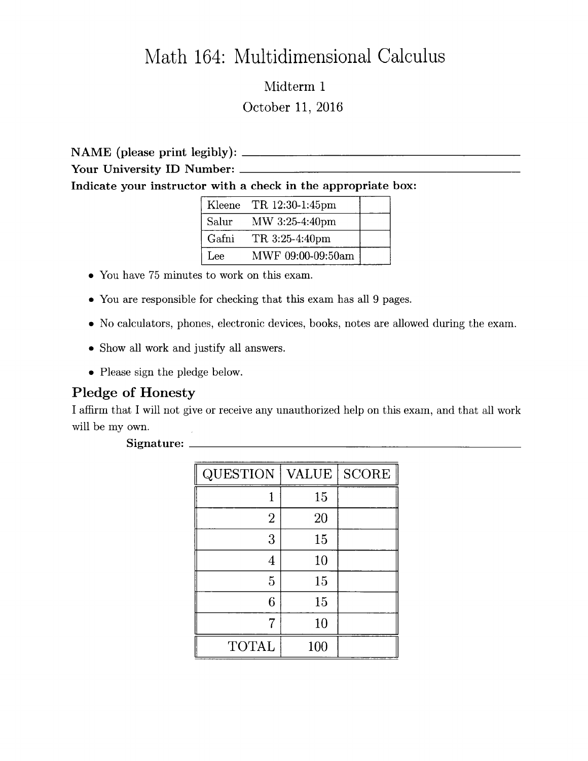## Math 164: Multidimensional Calculus

Midterm 1 October 11, 2016

NAME (please print legibly):

Your University ID Number:

Indicate your instructor with a check in the appropriate box:

| Kleene | TR 12:30-1:45pm   |  |
|--------|-------------------|--|
| Salur  | MW 3:25-4:40pm    |  |
| Gafni  | TR 3:25-4:40pm    |  |
| Lee    | MWF 09:00-09:50am |  |

- 0 You have 75 minutes to work on this exam.
- 0 You are responsible for checking that this exam has all 9 pages.
- 0 No calculators, phones, electronic devices, books, notes are allowed during the exam.
- 0 Show all work and justify all answers.
- Please sign the pledge below.

## Pledge of Honesty

I affirm that I Will not give or receive any unauthorized help on this exam, and that all work will be my own.

## Signature:

| <b>QUESTION</b> | <b>VALUE</b> | <b>SCORE</b> |
|-----------------|--------------|--------------|
|                 | 15           |              |
| $\overline{2}$  | 20           |              |
| 3               | 15           |              |
| 4               | 10           |              |
| 5               | 15           |              |
| 6               | 15           |              |
|                 | 10           |              |
| <b>TOTAL</b>    | 100          |              |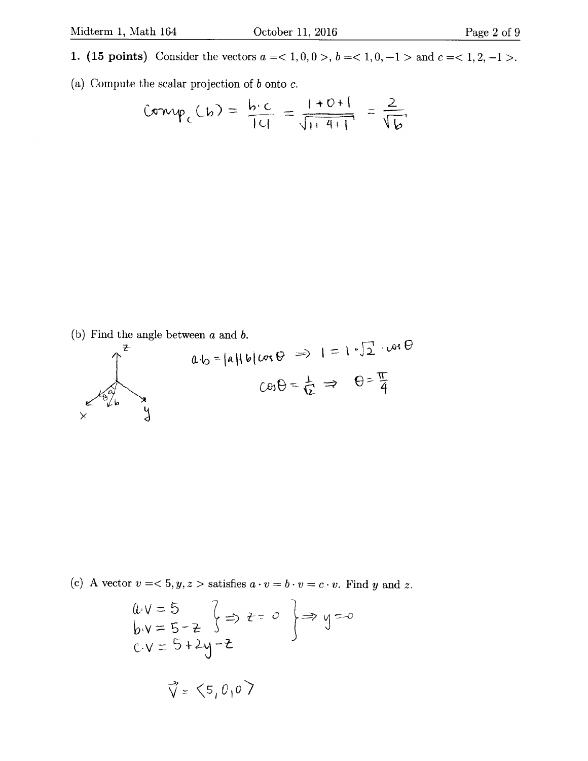(a) Compute the scalar projection of  $b$  onto  $c$ .

$$
Comp_c(b) = \frac{b \cdot c}{|c|} = \frac{1+0+1}{\sqrt{1+4+1}} = \frac{2}{\sqrt{b}}
$$

(b) Find the angle between  $a$  and  $b$ .



(c) A vector 
$$
v = 5, y, z >
$$
 satisfies  $a \cdot v = b \cdot v = c \cdot v$ . Find y and z.

$$
0.0 = 5
$$
\n
$$
b.0 = 5 - z
$$
\n
$$
c.0 = 5 + 2y - z
$$
\n
$$
\vec{v} = (5, 0, 0)
$$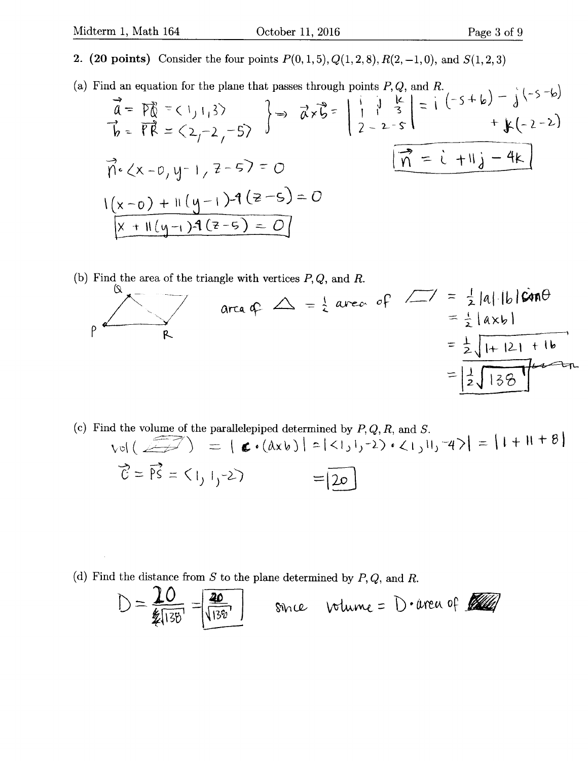- 2. (20 points) Consider the four points  $P(0,1,5), Q(1,2,8), R(2,-1,0)$ , and  $S(1,2,3)$
- (a) Find an equation for the plane that passes through points P, Q, and R.

$$
\vec{a} = \vec{p} \vec{g} = (1, 1, 3)
$$
\n
$$
\vec{a} = \vec{p} \vec{g} = (1, 1, 3)
$$
\n
$$
\vec{b} = \vec{f} \vec{R} = (2, -2, -5)
$$
\n
$$
\vec{b} = (\vec{a} - 2, -2, -5)
$$
\n
$$
\vec{b} = (\vec{a} - 2, -2, -5)
$$
\n
$$
\vec{b} = (\vec{a} - 2, -2, -5)
$$
\n
$$
\vec{b} = (\vec{a} - 2, -2, -5)
$$
\n
$$
\vec{b} = (\vec{a} - 2, -2, -5)
$$
\n
$$
\vec{b} = (\vec{a} - 2, -2, -5)
$$
\n
$$
\vec{b} = (\vec{a} - 2, -2, -5)
$$
\n
$$
\vec{b} = (\vec{a} - 2, -2, -5)
$$
\n
$$
\vec{b} = (\vec{a} - 2, -2, -5)
$$
\n
$$
\vec{b} = (\vec{a} - 2, -2, -5)
$$
\n
$$
\vec{b} = (\vec{a} - 2, -2, -5)
$$
\n
$$
\vec{b} = (\vec{a} - 2, -2, -5)
$$
\n
$$
\vec{b} = (\vec{a} - 2, -2, -5)
$$
\n
$$
\vec{b} = (\vec{a} - 2, -2, -5)
$$
\n
$$
\vec{b} = (\vec{a} - 2, -2, -5)
$$
\n
$$
\vec{b} = (\vec{a} - 2, -2, -5)
$$
\n
$$
\vec{a} = (\vec{a} - 2, -2, -5)
$$
\n
$$
\vec{a} = (\vec{a} - 2, -2, -5)
$$
\n
$$
\vec{a} = (\vec{a} - 2, -2, -5)
$$
\n
$$
\vec{a} = (\vec{a} - 2, -2, -2, -5)
$$
\n
$$
\vec{a} = (\vec{a} - 2, -2, -2, -5)
$$
\n
$$
\vec{a} = (\vec{a} - 2, -2, -2, -5)
$$
\n
$$
\vec{a} = (\vec{a}
$$

(b) Find the area of the triangle with vertices  $P, Q$ , and R.

$$
\rho \frac{a}{R} = \frac{1}{2} \text{area of } \frac{1}{2} = \frac{1}{2} |\text{a}||\text{b}| \sin \theta
$$
  
=  $\frac{1}{2} |\text{a}x\text{b}|$   
=  $\frac{1}{2} |\text{b}x\text{b}|$   
=  $\frac{1}{2} |\text{b}x\text{b}|$ 

(c) Find the volume of the parallelepiped determined by  $P, Q, R$ , and S.  $vol(\sqrt{1+1}) = |\mathbf{C} \cdot (dx_0)| = |\langle 1, 1, -2 \rangle \cdot \langle 1, 1, -4 \rangle| = |1 + 1|^{-1}$  $\vec{C} = \vec{PS} = \langle 1, 1, -2 \rangle = \boxed{20}$ 

(d) Find the distance from S to the plane determined by  $P, Q$ , and R.

$$
D = \frac{20}{2\pi 138} = \frac{20}{\sqrt{138}}
$$
 80nc volume = D-area of 100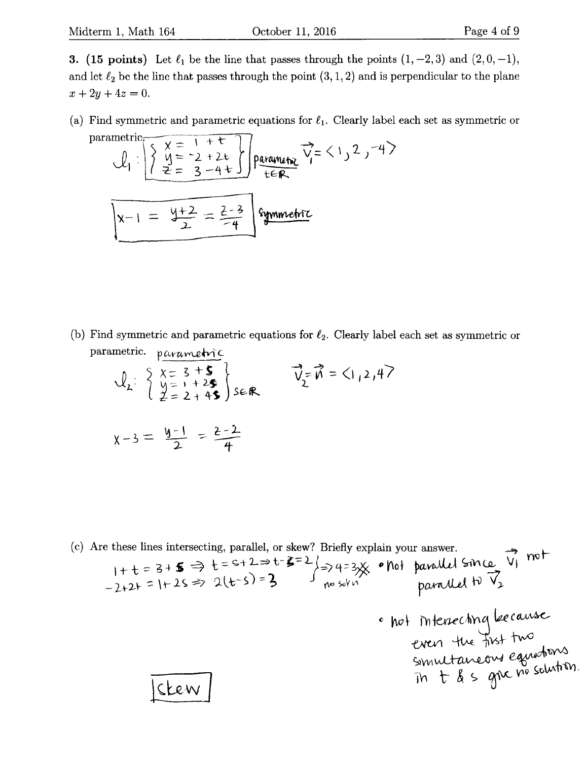3. (15 points) Let  $\ell_1$  be the line that passes through the points  $(1, -2, 3)$  and  $(2, 0, -1)$ , and let  $\ell_2$  be the line that passes through the point  $(3,1,2)$  and is perpendicular to the plane  $x+2y+4z=0.$ 

(a) Find symmetric and parametric equations for  $\ell_1$ . Clearly label each set as symmetric or parametric  $\frac{1}{1+\epsilon}$ 

$$
U_{1} = \begin{cases} x = 1 + 1 \\ y = -2 + 2t \\ z = 3 - 4t \end{cases}
$$
parametriz  

$$
x - 1 = \frac{y + 2}{2} = \frac{2 - 3}{-4}
$$
 symmetry

(b) Find symmetric and parametric equations for  $\ell_2$ . Clearly label each set as symmetric or parametric. parametric

$$
\mathcal{Q}_{2} = \begin{cases} \chi = 3 + 5 \\ \chi = 1 + 25 \\ 2 = 2 + 45 \end{cases} \text{seff} \qquad \vec{V}_{2} = \vec{n} = \langle 1, 2, 4 \rangle
$$
  

$$
\chi - 3 = \frac{y-1}{2} = \frac{2-2}{4}
$$

(c) Are these lines intersecting, parallel, or skew? Briefly explain your answer.  $1+t=3+5 \Rightarrow t=9+2=0$   $5-2$   $\Rightarrow$  4:3 $\frac{3}{2}$  on parallel since vi  $-2+2+$  = 1+2s => 2(t-s) = 3 J no solve measured to V; " hot intersecting because even the first two  $\frac{1}{100}$ Sken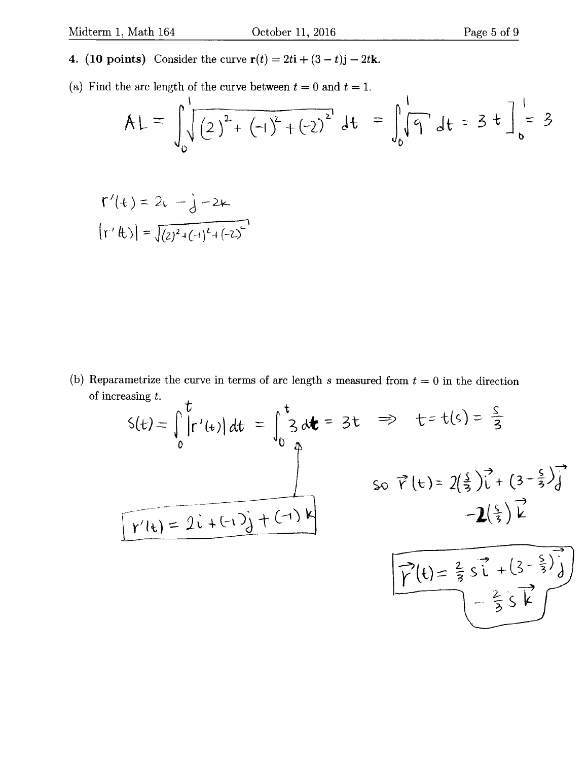- 4. (10 points) Consider the curve  $\mathbf{r}(t) = 2t\mathbf{i} + (3 t)\mathbf{j} 2t\mathbf{k}$ .
- (a) Find the arc length of the curve between  $t = 0$  and  $t = 1$ .

$$
AL = \int_0^1 \sqrt{(2)^2 + (-1)^2 + (-2)^2} dt = \int_0^1 \sqrt{9} dt = 3 \pm \frac{1}{6} = 3
$$

$$
\Gamma'(t) = 2i - j - 2k
$$
  

$$
|\Gamma'(t)| = \sqrt{(2)^2 + (-1)^2 + (-2)^2}
$$

(b) Reparametrize the curve in terms of arc length s measured from  $t = 0$  in the direction of increasing t.  $\lambda$ 

$$
S(t) = \int_{0}^{t} |r'(t)| dt = \int_{0}^{t} 3 dt = 3t \implies t = t(s) = \frac{s}{3}
$$
  
so  $\vec{r}(t) = 2(\frac{s}{3})\vec{l} + (3 - \frac{s}{3})\vec{j}$   
-2( $\frac{s}{3}$ ) $\vec{l}$   
-2( $\frac{s}{3}$ ) $\vec{l}$   
-2( $\frac{s}{3}$ ) $\vec{l}$   
-2( $\frac{s}{3}$ ) $\vec{l}$   
- $\frac{2}{3} \vec{s} \vec{l} + (3 - \frac{s}{3})\vec{j}$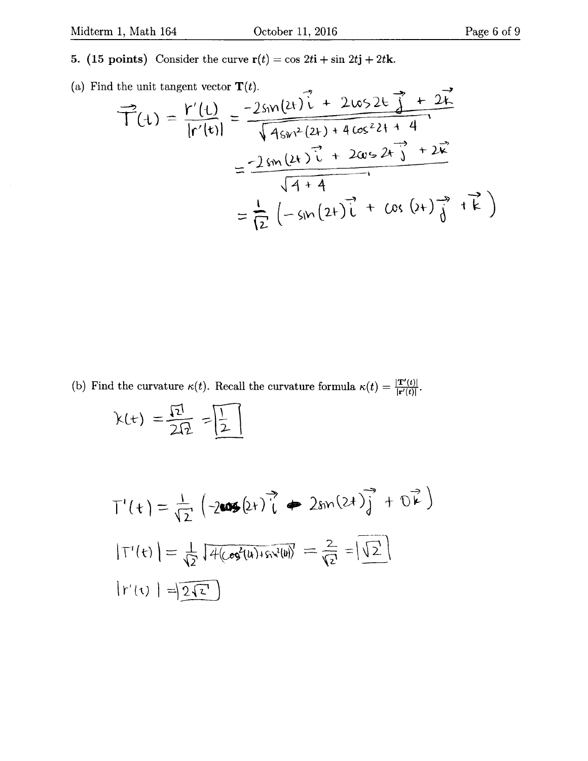- 5. (15 points) Consider the curve  $\mathbf{r}(t) = \cos 2t\mathbf{i} + \sin 2t\mathbf{j} + 2t\mathbf{k}$ .
- (a) Find the unit tangent vector  $\mathbf{T}(t)$ .

$$
\vec{T}(t) = \frac{r'(t)}{|r'(t)|} = \frac{-2sin(2t)i + 2cos2t j + 2k}{\sqrt{4sin^2(2t) + 4cos^2 2t + 4}}
$$

$$
= \frac{-2sin(2t)i + 2cos2t j + 2k}{\sqrt{4 + 4}}
$$

$$
= \frac{1}{12}(-sin(2t)i + cos(2t)j + k)
$$

(b) Find the curvature  $\kappa(t)$ . Recall the curvature formula  $\kappa(t) = \frac{|\mathbf{T}'(t)|}{|\mathbf{r}'(t)|}$ .

$$
k(t) = \frac{\sqrt{2}}{2\sqrt{2}} = \boxed{\frac{1}{2}}
$$

$$
T'(t) = \frac{1}{\sqrt{2}} \left( -2\cos(2t) \vec{i} + 2\sin(2t) \vec{j} + 0\vec{k} \right)
$$
  

$$
|T'(t)| = \frac{1}{\sqrt{2}} \sqrt{4(\cos^2(4) + \sin^2(4))} = \frac{2}{\sqrt{2}} = |\sqrt{2}|
$$
  

$$
|r'(t)| = |\overline{2\sqrt{2}}|
$$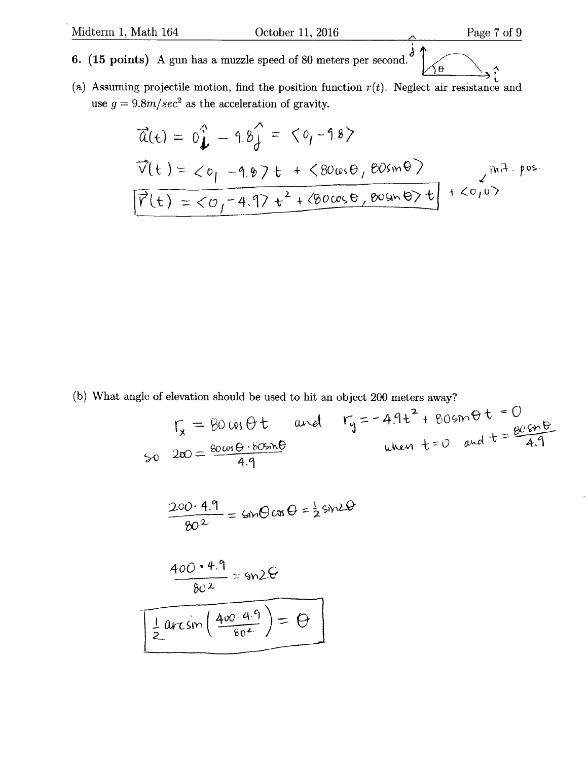## 6. (15 points) A gun has a muzzle speed of 80 meters per second.  $\theta$

 $\hat{i}$ (a) Assuming projectile motion, find the position function  $r(t)$ . Neglect air resistance and use  $g = 9.8m/sec^2$  as the acceleration of gravity.

$$
\vec{a}(t) = 0\hat{j} - 9.8\hat{j} = 60, -9.8
$$
\n
$$
\vec{v}(t) = 60, -9.87t + 600000, 600000
$$
\n
$$
\vec{v}(t) = 60, -9.87t + 600000, 6000000
$$
\n
$$
\vec{v}(t) = 60, -9.97t^2 + 600000, 60000000
$$
\n
$$
\vec{v}(t) = 60, -9.97t^2 + 600000, 60000000
$$

(b) What angle of elevation should be used to hit an object 200 meters away?

$$
\Gamma_{x} = 80 \text{ us } \theta \text{ t} \text{ and } \Gamma_{y} = -4.9 \text{ t}^{2} + 80 \text{ s m} \theta \text{ t} = 0
$$
  
\n
$$
50 \text{ } 200 = \frac{80 \text{ us } \theta \cdot 80 \text{ s m} \theta}{4.9}
$$
  
\n
$$
\frac{200 \cdot 4.9}{80^{2}} = 600 \text{ cm} \theta = \frac{1}{2} \text{ s m} \theta
$$
  
\n
$$
\frac{400 \cdot 4.9}{80^{2}} = 902 \theta
$$
  
\n
$$
\frac{1}{2} \arcsin\left(\frac{400 \cdot 4.9}{80^{2}}\right) = \theta
$$

<sub>2</sub>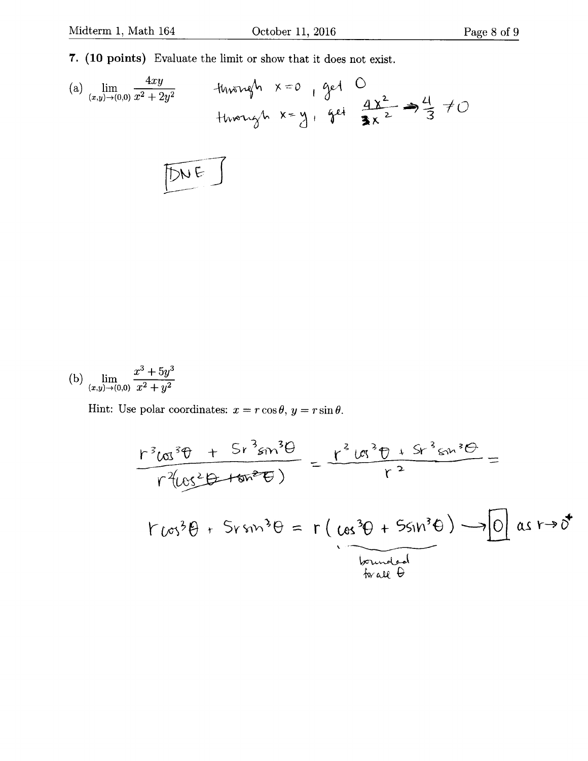7. (10 points) Evaluate the limit or show that it does not exist.

(b) 
$$
\lim_{(x,y)\to(0,0)}\frac{x^3+5y^3}{x^2+y^2}
$$

Hint: Use polar coordinates:  $x = r \cos \theta$ ,  $y = r \sin \theta$ .

$$
\frac{r^{3}cos^{3}\theta + 5r^{3}sin^{3}\theta}{r^{2}cos^{2}\theta + sin^{2}\theta} = \frac{r^{2}cos^{3}\theta + 5r^{3}sin^{3}\theta}{r^{2}} =
$$
  

$$
r^{2}(cos^{2}\theta + 5rsin^{3}\theta) = r (cos^{3}\theta + 5sin^{3}\theta) - 0 cosr + 0
$$
  

$$
tan\theta
$$